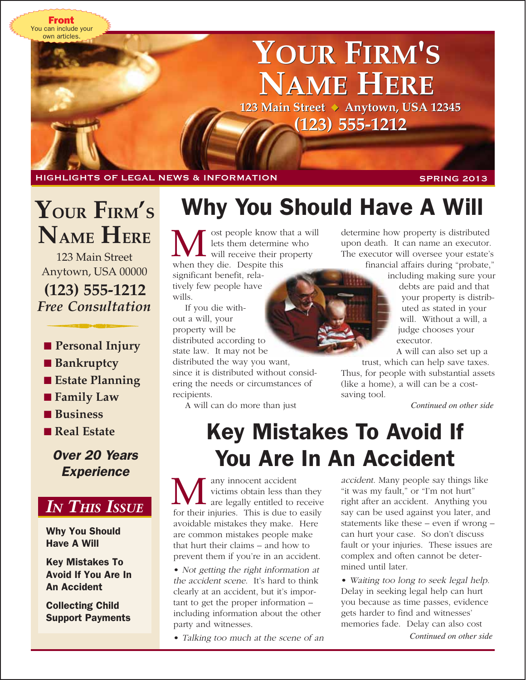You can include your own articles. Front

# **YOUR FIRM'S YOUR FIRM'S NAME HERE NAME HERE**

**123 Main Street** ◆ **Anytown, USA 12345 123 Main Street** ◆ **Anytown, USA 12345 (123) 555-1212 (123)** 

HIGHLIGHTS OF LEGAL NEWS & INFORMATION SPRING 2013

## **YOUR FIRM'S NAME HERE**

**(123) 555-1212** 123 Main Street Anytown, USA 00000 *Free Consultation*

- **Personal Injury**
- Bankruptcy
- **Estate Planning**
- **Family Law**
- Business
- ■ **Real Estate**

Over 20 Years **Experience** 



Why You Should Have A Will

Key Mistakes To Avoid If You Are In An Accident

Collecting Child Support Payments

## Why You Should Have A Will

ost people know that a will lets them determine who  $\sim$  will receive their property **M** est people know the state of the state of the state of the state of the state of the state of the state of the state of the state of the state of the state of the state of the state of the state of the state of the sta significant benefit, relatively few people have

wills.

If you die without a will, your property will be distributed according to state law. It may not be

distributed the way you want, since it is distributed without considering the needs or circumstances of recipients.

A will can do more than just

determine how property is distributed upon death. It can name an executor. The executor will oversee your estate's

financial affairs during "probate," including making sure your

debts are paid and that your property is distributed as stated in your will. Without a will, a judge chooses your executor.

A will can also set up a trust, which can help save taxes.

Thus, for people with substantial assets (like a home), a will can be a costsaving tool.

*Continued on other side*

## Key Mistakes To Avoid If You Are In An Accident

any innocent accident victims obtain less than they<br>are legally entitled to receive for their injuries. This is due to easily avoidable mistakes they make. Here are common mistakes people make that hurt their claims – and how to prevent them if you're in an accident.

• Not getting the right information at the accident scene. It's hard to think clearly at an accident, but it's important to get the proper information – including information about the other party and witnesses.

• Talking too much at the scene of an

accident. Many people say things like "it was my fault," or "I'm not hurt" right after an accident. Anything you say can be used against you later, and statements like these – even if wrong – can hurt your case. So don't discuss fault or your injuries. These issues are complex and often cannot be determined until later.

• Waiting too long to seek legal help. Delay in seeking legal help can hurt you because as time passes, evidence gets harder to find and witnesses' memories fade. Delay can also cost

*Continued on other side*